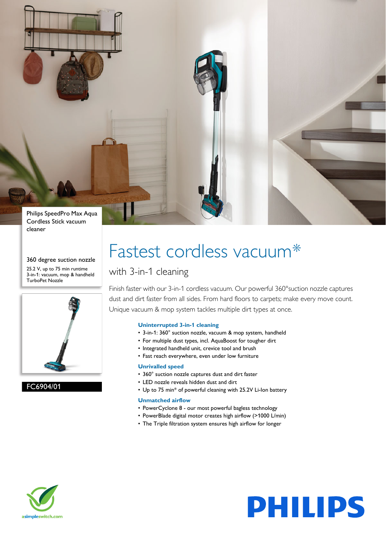

#### 360 degree suction nozzle

25.2 V, up to 75 min runtime 3-in-1: vacuum, mop & handheld TurboPet Nozzle



FC6904/01

# Fastest cordless vacuum\*

### with 3-in-1 cleaning

Finish faster with our 3-in-1 cordless vacuum. Our powerful 360° suction nozzle captures dust and dirt faster from all sides. From hard floors to carpets; make every move count. Unique vacuum & mop system tackles multiple dirt types at once.

#### **Uninterrupted 3-in-1 cleaning**

- 3-in-1: 360° suction nozzle, vacuum & mop system, handheld
- For multiple dust types, incl. AquaBoost for tougher dirt
- Integrated handheld unit, crevice tool and brush
- Fast reach everywhere, even under low furniture

#### **Unrivalled speed**

- 360° suction nozzle captures dust and dirt faster
- LED nozzle reveals hidden dust and dirt
- Up to 75 min\* of powerful cleaning with 25.2V Li-Ion battery

#### **Unmatched airflow**

- PowerCyclone 8 our most powerful bagless technology
- PowerBlade digital motor creates high airflow (>1000 L/min)
- The Triple filtration system ensures high airflow for longer



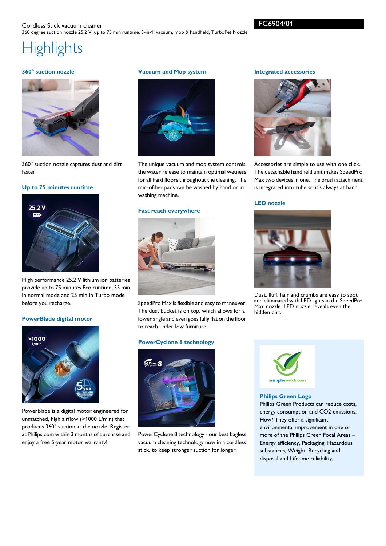## **Highlights**

#### **360° suction nozzle**



360° suction nozzle captures dust and dirt faster

#### **Up to 75 minutes runtime**



High performance 25.2 V lithium ion batteries provide up to 75 minutes Eco runtime, 35 min in normal mode and 25 min in Turbo mode before you recharge.

#### **PowerBlade digital motor**



PowerBlade is a digital motor engineered for unmatched, high airflow (>1000 L/min) that produces 360° suction at the nozzle. Register at Philips.com within 3 months of purchase and enjoy a free 5-year motor warranty!

#### **Vacuum and Mop system**



The unique vacuum and mop system controls the water release to maintain optimal wetness for all hard floors throughout the cleaning. The microfiber pads can be washed by hand or in washing machine.

#### **Fast reach everywhere**



SpeedPro Max is flexible and easy to maneuver. The dust bucket is on top, which allows for a lower angle and even goes fully flat on the floor to reach under low furniture.

#### **PowerCyclone 8 technology**



PowerCyclone 8 technology - our best bagless vacuum cleaning technology now in a cordless stick, to keep stronger suction for longer.

#### **Integrated accessories**



Accessories are simple to use with one click. The detachable handheld unit makes SpeedPro Max two devices in one. The brush attachment is integrated into tube so it's always at hand.

#### **LED nozzle**



Dust, fluff, hair and crumbs are easy to spot and eliminated with LED lights in the SpeedPro Max nozzle. LED nozzle reveals even the hidden dirt.



#### **Philips Green Logo**

Philips Green Products can reduce costs, energy consumption and CO2 emissions. How? They offer a significant environmental improvement in one or more of the Philips Green Focal Areas – Energy efficiency, Packaging, Hazardous substances, Weight, Recycling and disposal and Lifetime reliability.